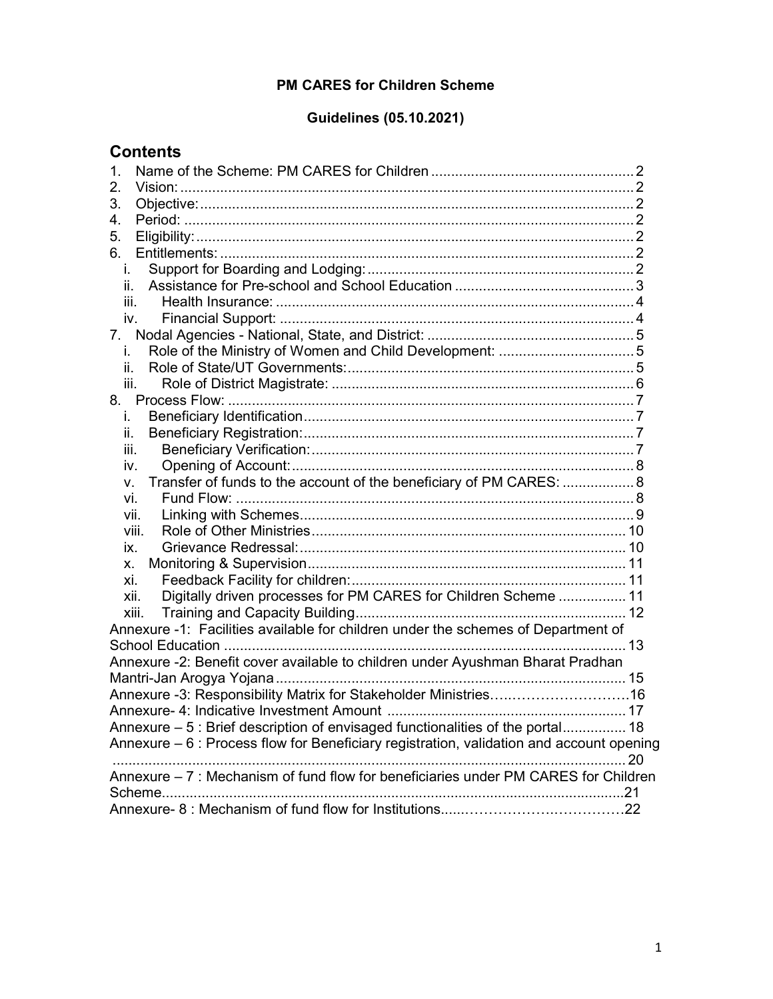## PM CARES for Children Scheme

# Guidelines (05.10.2021)

| <b>Contents</b>                                                                          |
|------------------------------------------------------------------------------------------|
| 1.                                                                                       |
| 2.                                                                                       |
| 3.                                                                                       |
| 4.                                                                                       |
| 5.                                                                                       |
| 6.                                                                                       |
| İ.                                                                                       |
| ii.                                                                                      |
| iii.                                                                                     |
| iv.                                                                                      |
| 7.                                                                                       |
| i.                                                                                       |
| ii.                                                                                      |
| iii.                                                                                     |
|                                                                                          |
| i.                                                                                       |
| ii.                                                                                      |
| iii.                                                                                     |
| iv.                                                                                      |
| Transfer of funds to the account of the beneficiary of PM CARES:  8<br>V.                |
| Vİ.                                                                                      |
| vii.                                                                                     |
| viii.                                                                                    |
| IX.                                                                                      |
| х.                                                                                       |
| xi.                                                                                      |
| Digitally driven processes for PM CARES for Children Scheme  11<br>xii.                  |
| xiii.                                                                                    |
| Annexure -1: Facilities available for children under the schemes of Department of        |
|                                                                                          |
| Annexure -2: Benefit cover available to children under Ayushman Bharat Pradhan           |
|                                                                                          |
| Annexure -3: Responsibility Matrix for Stakeholder Ministries16                          |
|                                                                                          |
| Annexure - 5 : Brief description of envisaged functionalities of the portal 18           |
| Annexure – 6 : Process flow for Beneficiary registration, validation and account opening |
| 20                                                                                       |
| Annexure - 7 : Mechanism of fund flow for beneficiaries under PM CARES for Children      |
| Scheme                                                                                   |
|                                                                                          |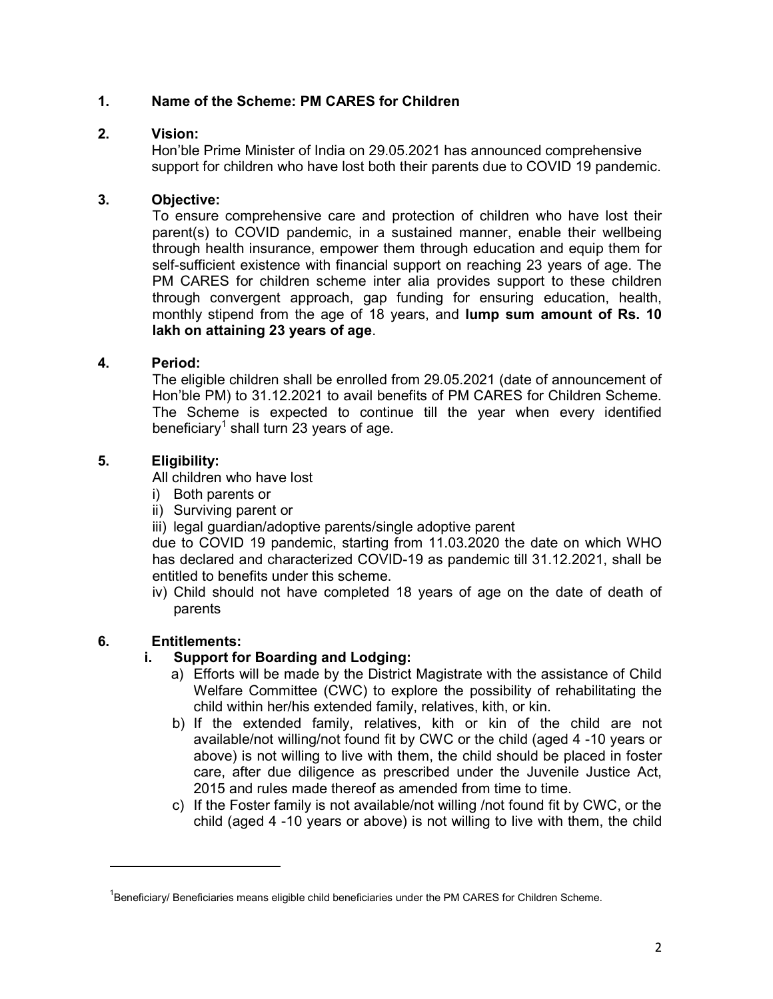## 1. Name of the Scheme: PM CARES for Children

#### 2. Vision:

Hon'ble Prime Minister of India on 29.05.2021 has announced comprehensive support for children who have lost both their parents due to COVID 19 pandemic.

## 3. Objective:

To ensure comprehensive care and protection of children who have lost their parent(s) to COVID pandemic, in a sustained manner, enable their wellbeing through health insurance, empower them through education and equip them for self-sufficient existence with financial support on reaching 23 years of age. The PM CARES for children scheme inter alia provides support to these children through convergent approach, gap funding for ensuring education, health, monthly stipend from the age of 18 years, and lump sum amount of Rs. 10 lakh on attaining 23 years of age.

## 4. Period:

The eligible children shall be enrolled from 29.05.2021 (date of announcement of Hon'ble PM) to 31.12.2021 to avail benefits of PM CARES for Children Scheme. The Scheme is expected to continue till the year when every identified beneficiary $^1$  shall turn 23 years of age.

## 5. Eligibility:

All children who have lost

- i) Both parents or
- ii) Surviving parent or

iii) legal guardian/adoptive parents/single adoptive parent

due to COVID 19 pandemic, starting from 11.03.2020 the date on which WHO has declared and characterized COVID-19 as pandemic till 31.12.2021, shall be entitled to benefits under this scheme.

iv) Child should not have completed 18 years of age on the date of death of parents

## 6. Entitlements:

-

## i. Support for Boarding and Lodging:

- a) Efforts will be made by the District Magistrate with the assistance of Child Welfare Committee (CWC) to explore the possibility of rehabilitating the child within her/his extended family, relatives, kith, or kin.
- b) If the extended family, relatives, kith or kin of the child are not available/not willing/not found fit by CWC or the child (aged 4 -10 years or above) is not willing to live with them, the child should be placed in foster care, after due diligence as prescribed under the Juvenile Justice Act, 2015 and rules made thereof as amended from time to time.
- c) If the Foster family is not available/not willing /not found fit by CWC, or the child (aged 4 -10 years or above) is not willing to live with them, the child

<sup>&</sup>lt;sup>1</sup>Beneficiary/ Beneficiaries means eligible child beneficiaries under the PM CARES for Children Scheme.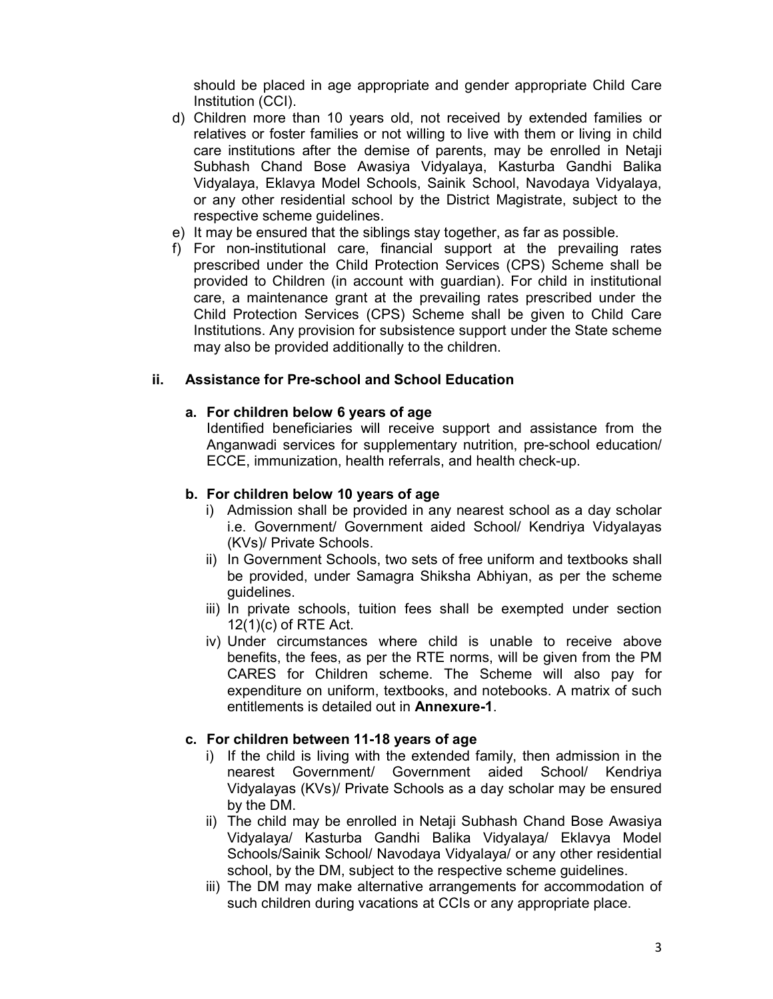should be placed in age appropriate and gender appropriate Child Care Institution (CCI).

- d) Children more than 10 years old, not received by extended families or relatives or foster families or not willing to live with them or living in child care institutions after the demise of parents, may be enrolled in Netaji Subhash Chand Bose Awasiya Vidyalaya, Kasturba Gandhi Balika Vidyalaya, Eklavya Model Schools, Sainik School, Navodaya Vidyalaya, or any other residential school by the District Magistrate, subject to the respective scheme guidelines.
- e) It may be ensured that the siblings stay together, as far as possible.
- f) For non-institutional care, financial support at the prevailing rates prescribed under the Child Protection Services (CPS) Scheme shall be provided to Children (in account with guardian). For child in institutional care, a maintenance grant at the prevailing rates prescribed under the Child Protection Services (CPS) Scheme shall be given to Child Care Institutions. Any provision for subsistence support under the State scheme may also be provided additionally to the children.

#### ii. Assistance for Pre-school and School Education

#### a. For children below 6 years of age

Identified beneficiaries will receive support and assistance from the Anganwadi services for supplementary nutrition, pre-school education/ ECCE, immunization, health referrals, and health check-up.

#### b. For children below 10 years of age

- i) Admission shall be provided in any nearest school as a day scholar i.e. Government/ Government aided School/ Kendriya Vidyalayas (KVs)/ Private Schools.
- ii) In Government Schools, two sets of free uniform and textbooks shall be provided, under Samagra Shiksha Abhiyan, as per the scheme guidelines.
- iii) In private schools, tuition fees shall be exempted under section 12(1)(c) of RTE Act.
- iv) Under circumstances where child is unable to receive above benefits, the fees, as per the RTE norms, will be given from the PM CARES for Children scheme. The Scheme will also pay for expenditure on uniform, textbooks, and notebooks. A matrix of such entitlements is detailed out in Annexure-1.

#### c. For children between 11-18 years of age

- i) If the child is living with the extended family, then admission in the nearest Government/ Government aided School/ Kendriya Vidyalayas (KVs)/ Private Schools as a day scholar may be ensured by the DM.
- ii) The child may be enrolled in Netaji Subhash Chand Bose Awasiya Vidyalaya/ Kasturba Gandhi Balika Vidyalaya/ Eklavya Model Schools/Sainik School/ Navodaya Vidyalaya/ or any other residential school, by the DM, subject to the respective scheme guidelines.
- iii) The DM may make alternative arrangements for accommodation of such children during vacations at CCIs or any appropriate place.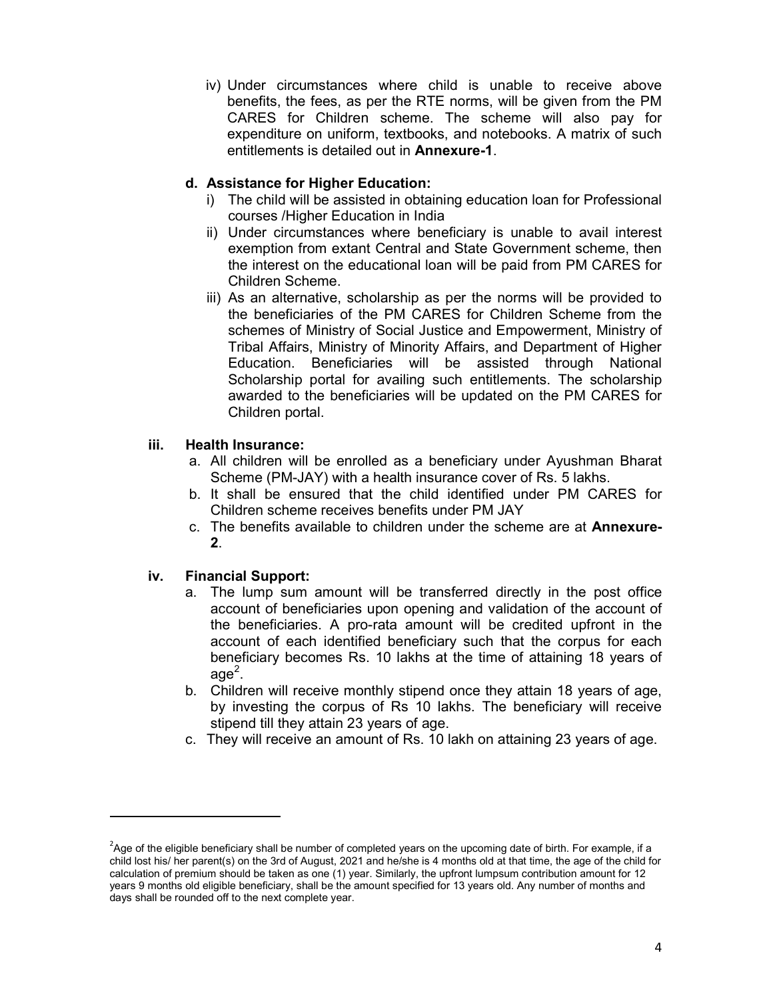iv) Under circumstances where child is unable to receive above benefits, the fees, as per the RTE norms, will be given from the PM CARES for Children scheme. The scheme will also pay for expenditure on uniform, textbooks, and notebooks. A matrix of such entitlements is detailed out in Annexure-1.

## d. Assistance for Higher Education:

- i) The child will be assisted in obtaining education loan for Professional courses /Higher Education in India
- ii) Under circumstances where beneficiary is unable to avail interest exemption from extant Central and State Government scheme, then the interest on the educational loan will be paid from PM CARES for Children Scheme.
- iii) As an alternative, scholarship as per the norms will be provided to the beneficiaries of the PM CARES for Children Scheme from the schemes of Ministry of Social Justice and Empowerment, Ministry of Tribal Affairs, Ministry of Minority Affairs, and Department of Higher Education. Beneficiaries will be assisted through National Scholarship portal for availing such entitlements. The scholarship awarded to the beneficiaries will be updated on the PM CARES for Children portal.

#### iii. Health Insurance:

- a. All children will be enrolled as a beneficiary under Ayushman Bharat Scheme (PM-JAY) with a health insurance cover of Rs. 5 lakhs.
- b. It shall be ensured that the child identified under PM CARES for Children scheme receives benefits under PM JAY
- c. The benefits available to children under the scheme are at Annexure-2.

#### iv. Financial Support:

-

- a. The lump sum amount will be transferred directly in the post office account of beneficiaries upon opening and validation of the account of the beneficiaries. A pro-rata amount will be credited upfront in the account of each identified beneficiary such that the corpus for each beneficiary becomes Rs. 10 lakhs at the time of attaining 18 years of age $^2\!\!$  .
- b. Children will receive monthly stipend once they attain 18 years of age, by investing the corpus of Rs 10 lakhs. The beneficiary will receive stipend till they attain 23 years of age.
- c. They will receive an amount of Rs. 10 lakh on attaining 23 years of age.

 $2A$ ge of the eligible beneficiary shall be number of completed years on the upcoming date of birth. For example, if a child lost his/ her parent(s) on the 3rd of August, 2021 and he/she is 4 months old at that time, the age of the child for calculation of premium should be taken as one (1) year. Similarly, the upfront lumpsum contribution amount for 12 years 9 months old eligible beneficiary, shall be the amount specified for 13 years old. Any number of months and days shall be rounded off to the next complete year.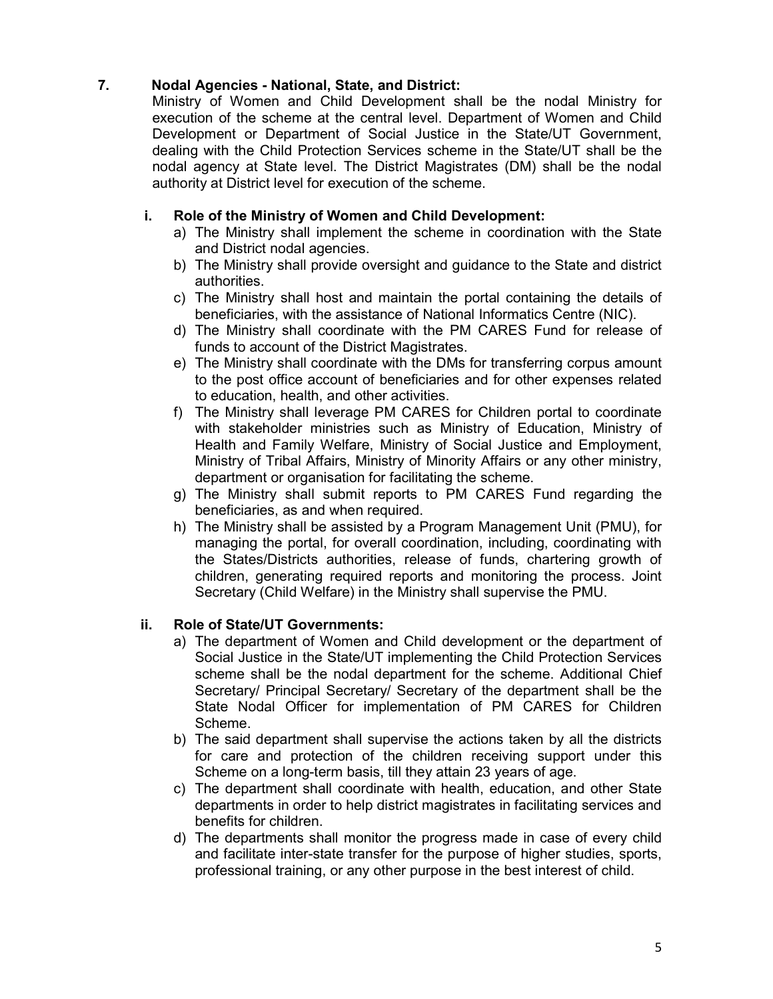## 7. Nodal Agencies - National, State, and District:

Ministry of Women and Child Development shall be the nodal Ministry for execution of the scheme at the central level. Department of Women and Child Development or Department of Social Justice in the State/UT Government, dealing with the Child Protection Services scheme in the State/UT shall be the nodal agency at State level. The District Magistrates (DM) shall be the nodal authority at District level for execution of the scheme.

## i. Role of the Ministry of Women and Child Development:

- a) The Ministry shall implement the scheme in coordination with the State and District nodal agencies.
- b) The Ministry shall provide oversight and guidance to the State and district authorities.
- c) The Ministry shall host and maintain the portal containing the details of beneficiaries, with the assistance of National Informatics Centre (NIC).
- d) The Ministry shall coordinate with the PM CARES Fund for release of funds to account of the District Magistrates.
- e) The Ministry shall coordinate with the DMs for transferring corpus amount to the post office account of beneficiaries and for other expenses related to education, health, and other activities.
- f) The Ministry shall leverage PM CARES for Children portal to coordinate with stakeholder ministries such as Ministry of Education, Ministry of Health and Family Welfare, Ministry of Social Justice and Employment, Ministry of Tribal Affairs, Ministry of Minority Affairs or any other ministry, department or organisation for facilitating the scheme.
- g) The Ministry shall submit reports to PM CARES Fund regarding the beneficiaries, as and when required.
- h) The Ministry shall be assisted by a Program Management Unit (PMU), for managing the portal, for overall coordination, including, coordinating with the States/Districts authorities, release of funds, chartering growth of children, generating required reports and monitoring the process. Joint Secretary (Child Welfare) in the Ministry shall supervise the PMU.

## ii. Role of State/UT Governments:

- a) The department of Women and Child development or the department of Social Justice in the State/UT implementing the Child Protection Services scheme shall be the nodal department for the scheme. Additional Chief Secretary/ Principal Secretary/ Secretary of the department shall be the State Nodal Officer for implementation of PM CARES for Children Scheme.
- b) The said department shall supervise the actions taken by all the districts for care and protection of the children receiving support under this Scheme on a long-term basis, till they attain 23 years of age.
- c) The department shall coordinate with health, education, and other State departments in order to help district magistrates in facilitating services and benefits for children.
- d) The departments shall monitor the progress made in case of every child and facilitate inter-state transfer for the purpose of higher studies, sports, professional training, or any other purpose in the best interest of child.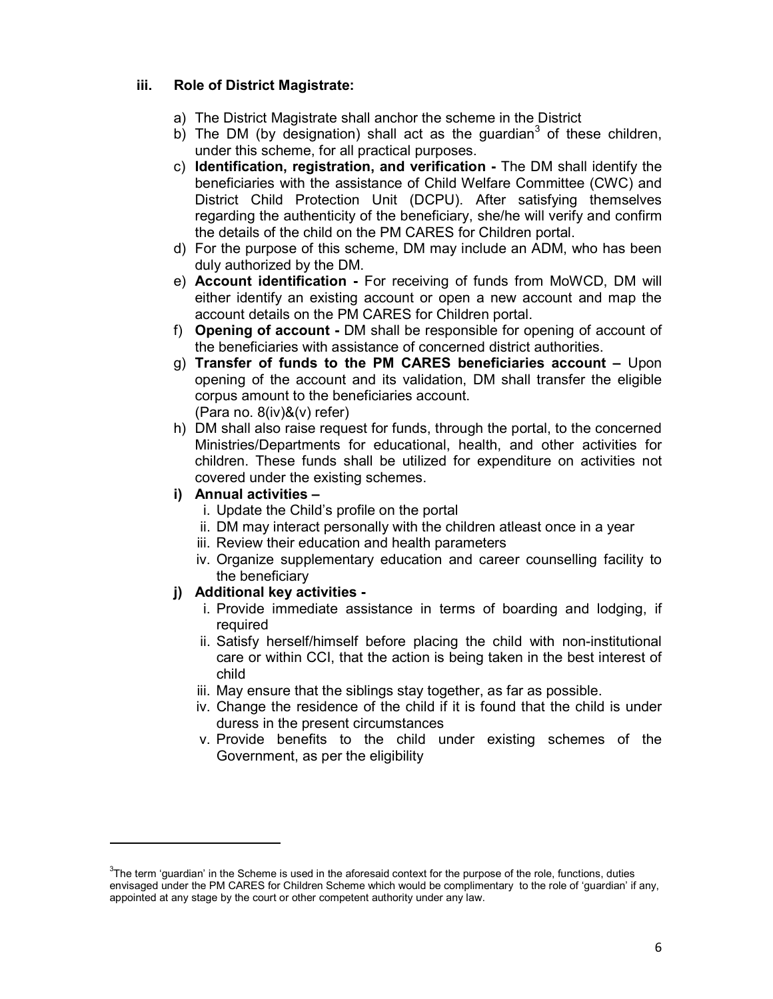#### iii. Role of District Magistrate:

- a) The District Magistrate shall anchor the scheme in the District
- b) The DM (by designation) shall act as the guardian<sup>3</sup> of these children, under this scheme, for all practical purposes.
- c) Identification, registration, and verification The DM shall identify the beneficiaries with the assistance of Child Welfare Committee (CWC) and District Child Protection Unit (DCPU). After satisfying themselves regarding the authenticity of the beneficiary, she/he will verify and confirm the details of the child on the PM CARES for Children portal.
- d) For the purpose of this scheme, DM may include an ADM, who has been duly authorized by the DM.
- e) Account identification For receiving of funds from MoWCD, DM will either identify an existing account or open a new account and map the account details on the PM CARES for Children portal.
- f) Opening of account DM shall be responsible for opening of account of the beneficiaries with assistance of concerned district authorities.
- g) Transfer of funds to the PM CARES beneficiaries account  $-$  Upon opening of the account and its validation, DM shall transfer the eligible corpus amount to the beneficiaries account. (Para no. 8(iv)&(v) refer)
- h) DM shall also raise request for funds, through the portal, to the concerned Ministries/Departments for educational, health, and other activities for children. These funds shall be utilized for expenditure on activities not covered under the existing schemes.

### i) Annual activities –

-

- i. Update the Child's profile on the portal
- ii. DM may interact personally with the children atleast once in a year
- iii. Review their education and health parameters
- iv. Organize supplementary education and career counselling facility to the beneficiary

#### j) Additional key activities -

- i. Provide immediate assistance in terms of boarding and lodging, if required
- ii. Satisfy herself/himself before placing the child with non-institutional care or within CCI, that the action is being taken in the best interest of child
- iii. May ensure that the siblings stay together, as far as possible.
- iv. Change the residence of the child if it is found that the child is under duress in the present circumstances
- v. Provide benefits to the child under existing schemes of the Government, as per the eligibility

 $3$ The term 'guardian' in the Scheme is used in the aforesaid context for the purpose of the role, functions, duties envisaged under the PM CARES for Children Scheme which would be complimentary to the role of 'guardian' if any, appointed at any stage by the court or other competent authority under any law.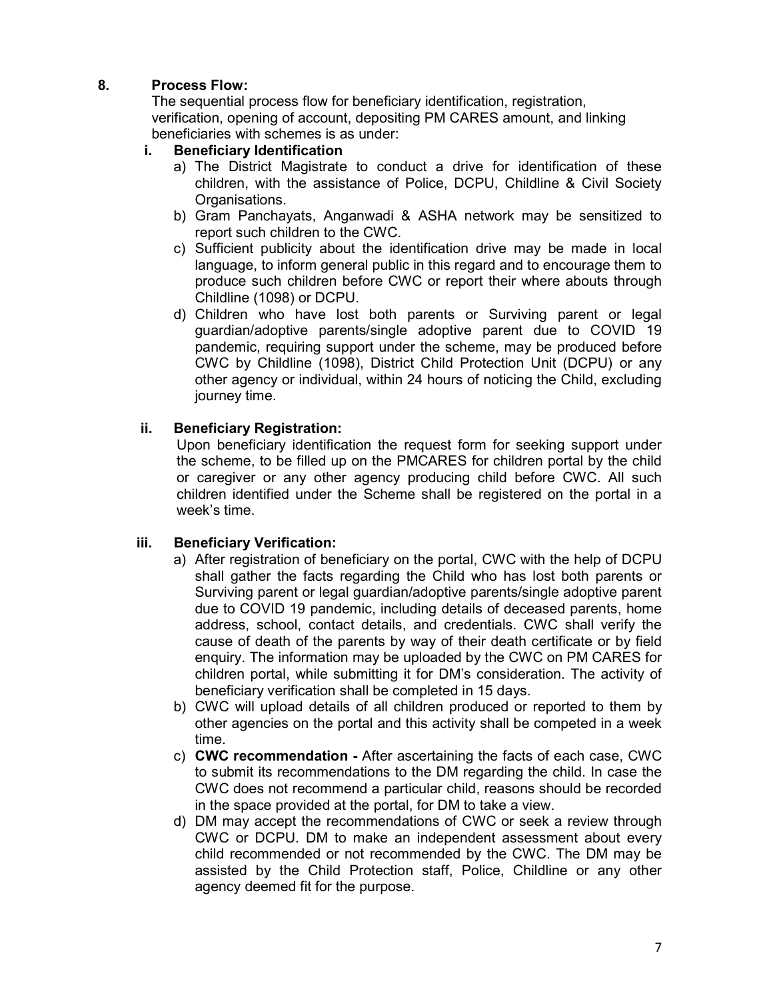## 8. Process Flow:

The sequential process flow for beneficiary identification, registration, verification, opening of account, depositing PM CARES amount, and linking beneficiaries with schemes is as under:

## i. Beneficiary Identification

- a) The District Magistrate to conduct a drive for identification of these children, with the assistance of Police, DCPU, Childline & Civil Society Organisations.
- b) Gram Panchayats, Anganwadi & ASHA network may be sensitized to report such children to the CWC.
- c) Sufficient publicity about the identification drive may be made in local language, to inform general public in this regard and to encourage them to produce such children before CWC or report their where abouts through Childline (1098) or DCPU.
- d) Children who have lost both parents or Surviving parent or legal guardian/adoptive parents/single adoptive parent due to COVID 19 pandemic, requiring support under the scheme, may be produced before CWC by Childline (1098), District Child Protection Unit (DCPU) or any other agency or individual, within 24 hours of noticing the Child, excluding journey time.

## ii. Beneficiary Registration:

Upon beneficiary identification the request form for seeking support under the scheme, to be filled up on the PMCARES for children portal by the child or caregiver or any other agency producing child before CWC. All such children identified under the Scheme shall be registered on the portal in a week's time.

#### iii. Beneficiary Verification:

- a) After registration of beneficiary on the portal, CWC with the help of DCPU shall gather the facts regarding the Child who has lost both parents or Surviving parent or legal guardian/adoptive parents/single adoptive parent due to COVID 19 pandemic, including details of deceased parents, home address, school, contact details, and credentials. CWC shall verify the cause of death of the parents by way of their death certificate or by field enquiry. The information may be uploaded by the CWC on PM CARES for children portal, while submitting it for DM's consideration. The activity of beneficiary verification shall be completed in 15 days.
- b) CWC will upload details of all children produced or reported to them by other agencies on the portal and this activity shall be competed in a week time.
- c) CWC recommendation After ascertaining the facts of each case, CWC to submit its recommendations to the DM regarding the child. In case the CWC does not recommend a particular child, reasons should be recorded in the space provided at the portal, for DM to take a view.
- d) DM may accept the recommendations of CWC or seek a review through CWC or DCPU. DM to make an independent assessment about every child recommended or not recommended by the CWC. The DM may be assisted by the Child Protection staff, Police, Childline or any other agency deemed fit for the purpose.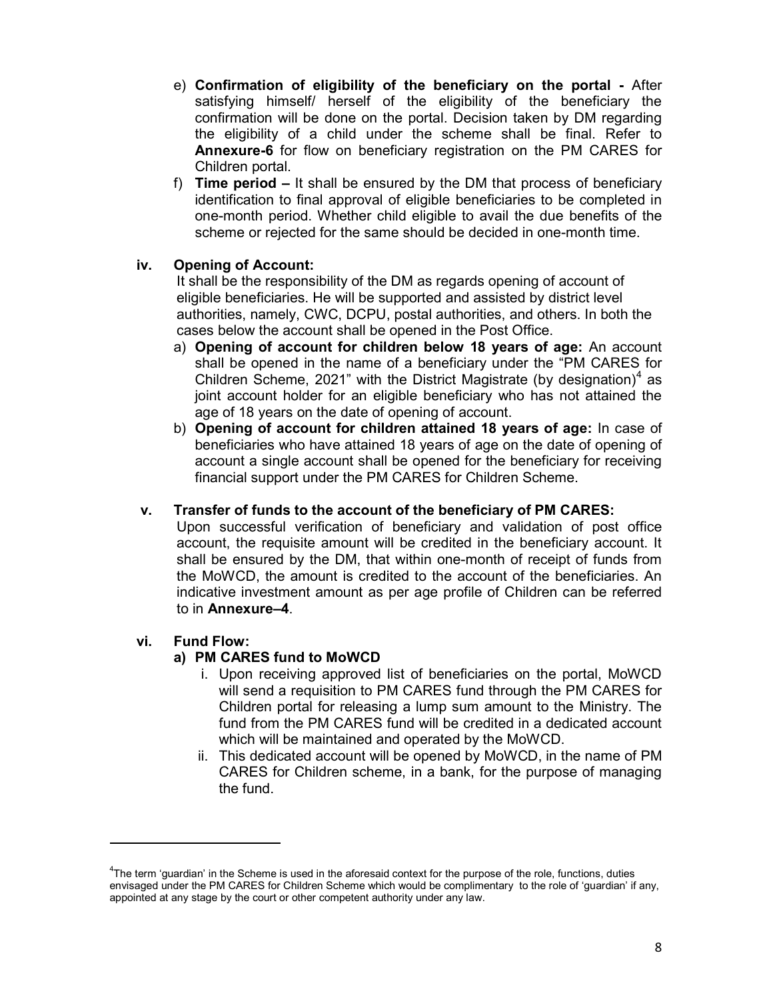- e) Confirmation of eligibility of the beneficiary on the portal After satisfying himself/ herself of the eligibility of the beneficiary the confirmation will be done on the portal. Decision taken by DM regarding the eligibility of a child under the scheme shall be final. Refer to Annexure-6 for flow on beneficiary registration on the PM CARES for Children portal.
- f) Time period It shall be ensured by the DM that process of beneficiary identification to final approval of eligible beneficiaries to be completed in one-month period. Whether child eligible to avail the due benefits of the scheme or rejected for the same should be decided in one-month time.

## iv. Opening of Account:

It shall be the responsibility of the DM as regards opening of account of eligible beneficiaries. He will be supported and assisted by district level authorities, namely, CWC, DCPU, postal authorities, and others. In both the cases below the account shall be opened in the Post Office.

- a) Opening of account for children below 18 years of age: An account shall be opened in the name of a beneficiary under the "PM CARES for Children Scheme, 2021" with the District Magistrate (by designation)<sup>4</sup> as joint account holder for an eligible beneficiary who has not attained the age of 18 years on the date of opening of account.
- b) Opening of account for children attained 18 years of age: In case of beneficiaries who have attained 18 years of age on the date of opening of account a single account shall be opened for the beneficiary for receiving financial support under the PM CARES for Children Scheme.

#### v. Transfer of funds to the account of the beneficiary of PM CARES:

Upon successful verification of beneficiary and validation of post office account, the requisite amount will be credited in the beneficiary account. It shall be ensured by the DM, that within one-month of receipt of funds from the MoWCD, the amount is credited to the account of the beneficiaries. An indicative investment amount as per age profile of Children can be referred to in Annexure–4.

#### vi. Fund Flow:

-

#### a) PM CARES fund to MoWCD

- i. Upon receiving approved list of beneficiaries on the portal, MoWCD will send a requisition to PM CARES fund through the PM CARES for Children portal for releasing a lump sum amount to the Ministry. The fund from the PM CARES fund will be credited in a dedicated account which will be maintained and operated by the MoWCD.
- ii. This dedicated account will be opened by MoWCD, in the name of PM CARES for Children scheme, in a bank, for the purpose of managing the fund.

<sup>4</sup>The term 'guardian' in the Scheme is used in the aforesaid context for the purpose of the role, functions, duties envisaged under the PM CARES for Children Scheme which would be complimentary to the role of 'guardian' if any, appointed at any stage by the court or other competent authority under any law.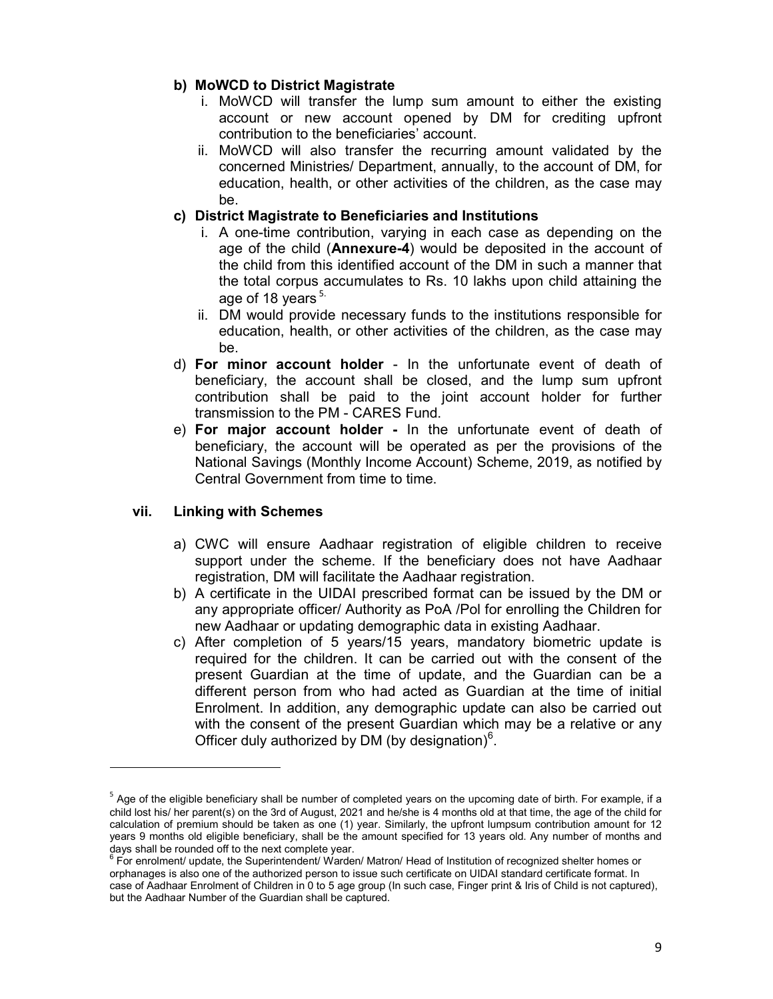#### b) MoWCD to District Magistrate

- i. MoWCD will transfer the lump sum amount to either the existing account or new account opened by DM for crediting upfront contribution to the beneficiaries' account.
- ii. MoWCD will also transfer the recurring amount validated by the concerned Ministries/ Department, annually, to the account of DM, for education, health, or other activities of the children, as the case may be.

## c) District Magistrate to Beneficiaries and Institutions

- i. A one-time contribution, varying in each case as depending on the age of the child (**Annexure-4**) would be deposited in the account of the child from this identified account of the DM in such a manner that the total corpus accumulates to Rs. 10 lakhs upon child attaining the age of 18 years<sup>5.</sup>
- ii. DM would provide necessary funds to the institutions responsible for education, health, or other activities of the children, as the case may be.
- d) For minor account holder In the unfortunate event of death of beneficiary, the account shall be closed, and the lump sum upfront contribution shall be paid to the joint account holder for further transmission to the PM - CARES Fund.
- e) For major account holder In the unfortunate event of death of beneficiary, the account will be operated as per the provisions of the National Savings (Monthly Income Account) Scheme, 2019, as notified by Central Government from time to time.

#### vii. Linking with Schemes

-

- a) CWC will ensure Aadhaar registration of eligible children to receive support under the scheme. If the beneficiary does not have Aadhaar registration, DM will facilitate the Aadhaar registration.
- b) A certificate in the UIDAI prescribed format can be issued by the DM or any appropriate officer/ Authority as PoA /Pol for enrolling the Children for new Aadhaar or updating demographic data in existing Aadhaar.
- c) After completion of 5 years/15 years, mandatory biometric update is required for the children. It can be carried out with the consent of the present Guardian at the time of update, and the Guardian can be a different person from who had acted as Guardian at the time of initial Enrolment. In addition, any demographic update can also be carried out with the consent of the present Guardian which may be a relative or any Officer duly authorized by DM (by designation) $6$ .

 $^{\rm 5}$  Age of the eligible beneficiary shall be number of completed years on the upcoming date of birth. For example, if a child lost his/ her parent(s) on the 3rd of August, 2021 and he/she is 4 months old at that time, the age of the child for calculation of premium should be taken as one (1) year. Similarly, the upfront lumpsum contribution amount for 12 years 9 months old eligible beneficiary, shall be the amount specified for 13 years old. Any number of months and days shall be rounded off to the next complete year.

 $^6$  For enrolment/ update, the Superintendent/ Warden/ Matron/ Head of Institution of recognized shelter homes or orphanages is also one of the authorized person to issue such certificate on UIDAI standard certificate format. In case of Aadhaar Enrolment of Children in 0 to 5 age group (In such case, Finger print & Iris of Child is not captured), but the Aadhaar Number of the Guardian shall be captured.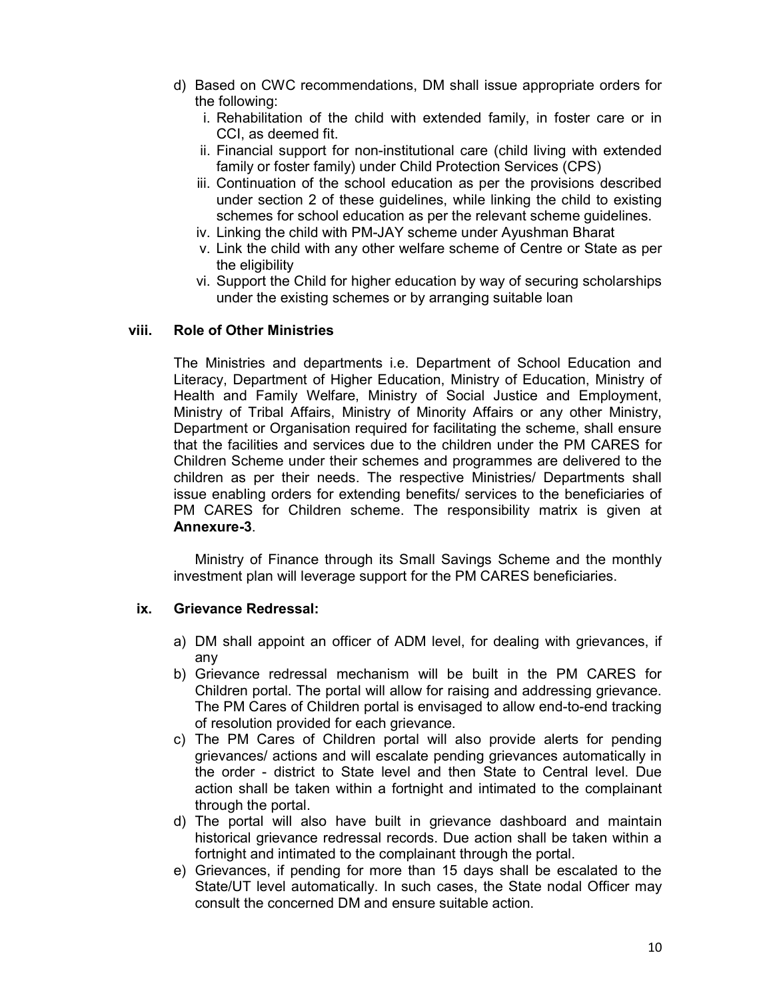- d) Based on CWC recommendations, DM shall issue appropriate orders for the following:
	- i. Rehabilitation of the child with extended family, in foster care or in CCI, as deemed fit.
	- ii. Financial support for non-institutional care (child living with extended family or foster family) under Child Protection Services (CPS)
	- iii. Continuation of the school education as per the provisions described under section 2 of these guidelines, while linking the child to existing schemes for school education as per the relevant scheme guidelines.
	- iv. Linking the child with PM-JAY scheme under Ayushman Bharat
	- v. Link the child with any other welfare scheme of Centre or State as per the eligibility
	- vi. Support the Child for higher education by way of securing scholarships under the existing schemes or by arranging suitable loan

#### viii. Role of Other Ministries

The Ministries and departments i.e. Department of School Education and Literacy, Department of Higher Education, Ministry of Education, Ministry of Health and Family Welfare, Ministry of Social Justice and Employment, Ministry of Tribal Affairs, Ministry of Minority Affairs or any other Ministry, Department or Organisation required for facilitating the scheme, shall ensure that the facilities and services due to the children under the PM CARES for Children Scheme under their schemes and programmes are delivered to the children as per their needs. The respective Ministries/ Departments shall issue enabling orders for extending benefits/ services to the beneficiaries of PM CARES for Children scheme. The responsibility matrix is given at Annexure-3.

 Ministry of Finance through its Small Savings Scheme and the monthly investment plan will leverage support for the PM CARES beneficiaries.

#### ix. Grievance Redressal:

- a) DM shall appoint an officer of ADM level, for dealing with grievances, if any
- b) Grievance redressal mechanism will be built in the PM CARES for Children portal. The portal will allow for raising and addressing grievance. The PM Cares of Children portal is envisaged to allow end-to-end tracking of resolution provided for each grievance.
- c) The PM Cares of Children portal will also provide alerts for pending grievances/ actions and will escalate pending grievances automatically in the order - district to State level and then State to Central level. Due action shall be taken within a fortnight and intimated to the complainant through the portal.
- d) The portal will also have built in grievance dashboard and maintain historical grievance redressal records. Due action shall be taken within a fortnight and intimated to the complainant through the portal.
- e) Grievances, if pending for more than 15 days shall be escalated to the State/UT level automatically. In such cases, the State nodal Officer may consult the concerned DM and ensure suitable action.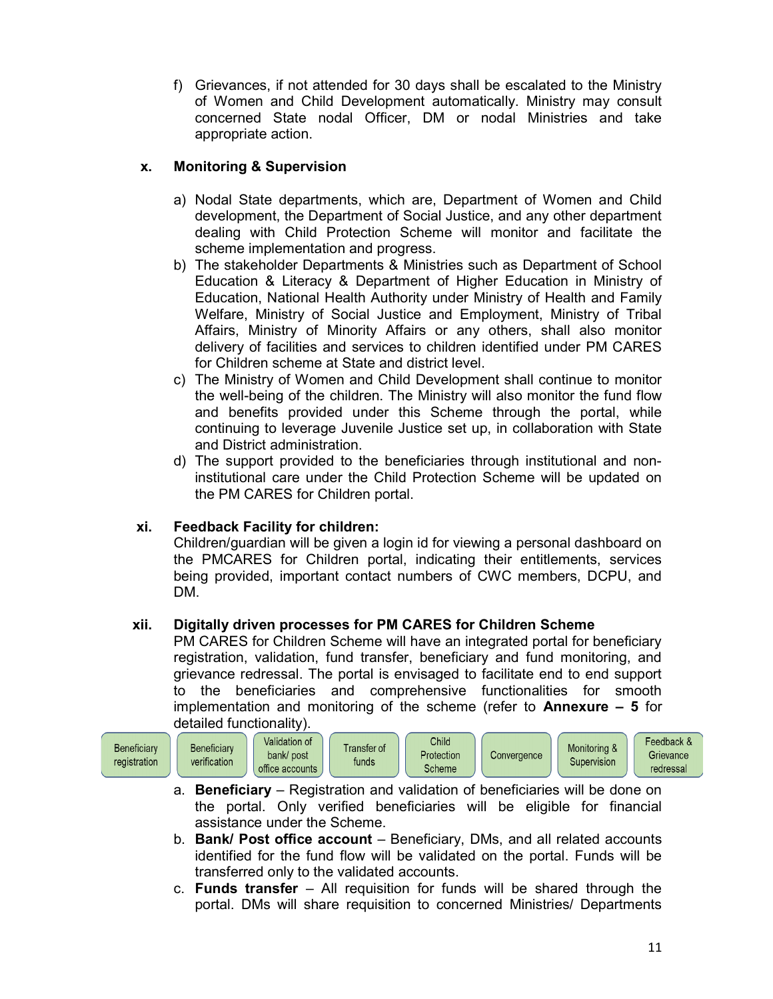f) Grievances, if not attended for 30 days shall be escalated to the Ministry of Women and Child Development automatically. Ministry may consult concerned State nodal Officer, DM or nodal Ministries and take appropriate action.

## x. Monitoring & Supervision

- a) Nodal State departments, which are, Department of Women and Child development, the Department of Social Justice, and any other department dealing with Child Protection Scheme will monitor and facilitate the scheme implementation and progress.
- b) The stakeholder Departments & Ministries such as Department of School Education & Literacy & Department of Higher Education in Ministry of Education, National Health Authority under Ministry of Health and Family Welfare, Ministry of Social Justice and Employment, Ministry of Tribal Affairs, Ministry of Minority Affairs or any others, shall also monitor delivery of facilities and services to children identified under PM CARES for Children scheme at State and district level.
- c) The Ministry of Women and Child Development shall continue to monitor the well-being of the children. The Ministry will also monitor the fund flow and benefits provided under this Scheme through the portal, while continuing to leverage Juvenile Justice set up, in collaboration with State and District administration.
- d) The support provided to the beneficiaries through institutional and noninstitutional care under the Child Protection Scheme will be updated on the PM CARES for Children portal.

## xi. Feedback Facility for children:

Children/guardian will be given a login id for viewing a personal dashboard on the PMCARES for Children portal, indicating their entitlements, services being provided, important contact numbers of CWC members, DCPU, and DM.

## xii. Digitally driven processes for PM CARES for Children Scheme

PM CARES for Children Scheme will have an integrated portal for beneficiary registration, validation, fund transfer, beneficiary and fund monitoring, and grievance redressal. The portal is envisaged to facilitate end to end support to the beneficiaries and comprehensive functionalities for smooth implementation and monitoring of the scheme (refer to **Annexure**  $-5$  for detailed functionality).



- a. Beneficiary Registration and validation of beneficiaries will be done on the portal. Only verified beneficiaries will be eligible for financial assistance under the Scheme.
- b. Bank/ Post office account Beneficiary, DMs, and all related accounts identified for the fund flow will be validated on the portal. Funds will be transferred only to the validated accounts.
- c. Funds transfer  $-$  All requisition for funds will be shared through the portal. DMs will share requisition to concerned Ministries/ Departments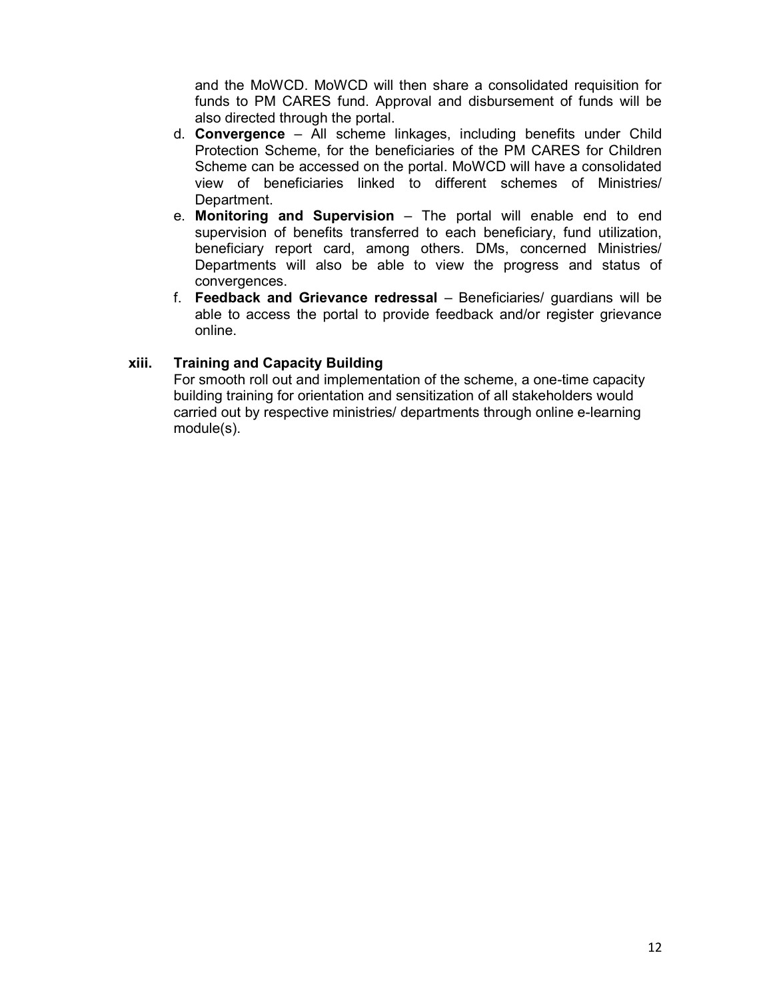and the MoWCD. MoWCD will then share a consolidated requisition for funds to PM CARES fund. Approval and disbursement of funds will be also directed through the portal.

- d. Convergence All scheme linkages, including benefits under Child Protection Scheme, for the beneficiaries of the PM CARES for Children Scheme can be accessed on the portal. MoWCD will have a consolidated view of beneficiaries linked to different schemes of Ministries/ Department.
- e. Monitoring and Supervision The portal will enable end to end supervision of benefits transferred to each beneficiary, fund utilization, beneficiary report card, among others. DMs, concerned Ministries/ Departments will also be able to view the progress and status of convergences.
- f. Feedback and Grievance redressal Beneficiaries/ guardians will be able to access the portal to provide feedback and/or register grievance online.

## xiii. Training and Capacity Building

For smooth roll out and implementation of the scheme, a one-time capacity building training for orientation and sensitization of all stakeholders would carried out by respective ministries/ departments through online e-learning module(s).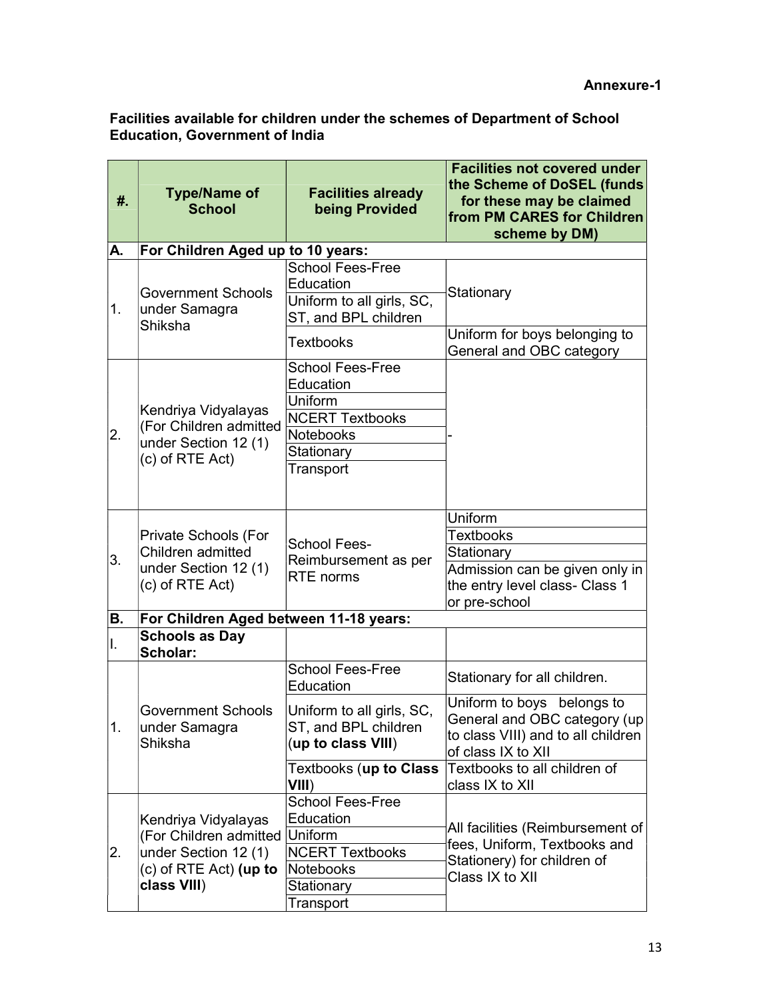#### Facilities available for children under the schemes of Department of School Education, Government of India

| #.  | <b>Type/Name of</b><br><b>School</b>                                                                                     | <b>Facilities already</b><br>being Provided                             | <b>Facilities not covered under</b><br>the Scheme of DoSEL (funds<br>for these may be claimed<br>from PM CARES for Children<br>scheme by DM) |
|-----|--------------------------------------------------------------------------------------------------------------------------|-------------------------------------------------------------------------|----------------------------------------------------------------------------------------------------------------------------------------------|
| А.  | For Children Aged up to 10 years:                                                                                        |                                                                         |                                                                                                                                              |
| 1.  | <b>Government Schools</b><br>under Samagra<br>Shiksha                                                                    | <b>School Fees-Free</b><br>Education                                    |                                                                                                                                              |
|     |                                                                                                                          | Uniform to all girls, SC,<br>ST, and BPL children                       | Stationary                                                                                                                                   |
|     |                                                                                                                          | <b>Textbooks</b>                                                        | Uniform for boys belonging to<br>General and OBC category                                                                                    |
| 2.  | Kendriya Vidyalayas<br>(For Children admitted<br>under Section 12 (1)<br>(c) of RTE Act)                                 | <b>School Fees-Free</b><br>Education<br>Uniform                         |                                                                                                                                              |
|     |                                                                                                                          | <b>NCERT Textbooks</b>                                                  |                                                                                                                                              |
|     |                                                                                                                          | <b>Notebooks</b><br>Stationary                                          |                                                                                                                                              |
|     |                                                                                                                          | Transport                                                               |                                                                                                                                              |
|     |                                                                                                                          |                                                                         | Uniform<br><b>Textbooks</b>                                                                                                                  |
|     | Private Schools (For<br>Children admitted<br>under Section 12 (1)<br>(c) of RTE Act)                                     | <b>School Fees-</b><br>Reimbursement as per<br><b>RTE</b> norms         | Stationary                                                                                                                                   |
| 3.  |                                                                                                                          |                                                                         | Admission can be given only in                                                                                                               |
|     |                                                                                                                          |                                                                         | the entry level class- Class 1<br>or pre-school                                                                                              |
| В.  | For Children Aged between 11-18 years:                                                                                   |                                                                         |                                                                                                                                              |
| ΙΙ. | <b>Schools as Day</b><br>Scholar:                                                                                        |                                                                         |                                                                                                                                              |
| 1.  | <b>Government Schools</b><br>under Samagra<br>Shiksha                                                                    | <b>School Fees-Free</b><br>Education                                    | Stationary for all children.                                                                                                                 |
|     |                                                                                                                          | Uniform to all girls, SC,<br>ST, and BPL children<br>(up to class VIII) | Uniform to boys belongs to<br>General and OBC category (up<br>to class VIII) and to all children<br>of class IX to XII                       |
|     |                                                                                                                          | Textbooks ( <b>up to Class</b><br>VIII)                                 | Textbooks to all children of<br>class IX to XII                                                                                              |
|     | Kendriya Vidyalayas<br>(For Children admitted Uniform<br>under Section 12 (1)<br>$(c)$ of RTE Act) (up to<br>class VIII) | <b>School Fees-Free</b><br>Education                                    | All facilities (Reimbursement of                                                                                                             |
| 2.  |                                                                                                                          | <b>NCERT Textbooks</b>                                                  | fees, Uniform, Textbooks and<br>Stationery) for children of<br>Class IX to XII                                                               |
|     |                                                                                                                          | Notebooks                                                               |                                                                                                                                              |
|     |                                                                                                                          | Stationary                                                              |                                                                                                                                              |
|     |                                                                                                                          | Transport                                                               |                                                                                                                                              |
|     |                                                                                                                          |                                                                         |                                                                                                                                              |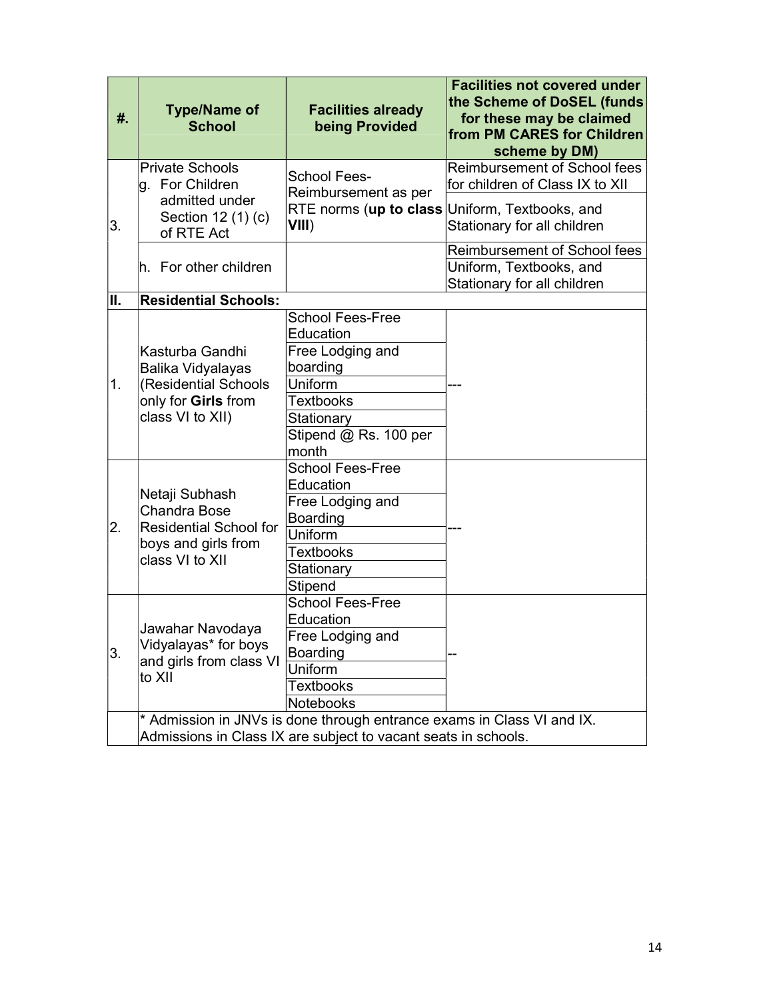| #.  | <b>Type/Name of</b><br><b>School</b>                                                                                                     | <b>Facilities already</b><br>being Provided                                                                                    | <b>Facilities not covered under</b><br>the Scheme of DoSEL (funds<br>for these may be claimed<br>from PM CARES for Children<br>scheme by DM)     |
|-----|------------------------------------------------------------------------------------------------------------------------------------------|--------------------------------------------------------------------------------------------------------------------------------|--------------------------------------------------------------------------------------------------------------------------------------------------|
| 3.  | <b>Private Schools</b><br>g. For Children<br>admitted under<br>Section 12 (1) (c)                                                        | <b>School Fees-</b><br>Reimbursement as per<br>VIII)                                                                           | Reimbursement of School fees<br>for children of Class IX to XII<br>RTE norms (up to class Uniform, Textbooks, and<br>Stationary for all children |
|     | of RTE Act<br>h. For other children                                                                                                      |                                                                                                                                | Reimbursement of School fees<br>Uniform, Textbooks, and<br>Stationary for all children                                                           |
| II. | <b>Residential Schools:</b>                                                                                                              |                                                                                                                                |                                                                                                                                                  |
| 1.  | Kasturba Gandhi<br>Balika Vidyalayas<br>(Residential Schools                                                                             | <b>School Fees-Free</b><br>Education<br>Free Lodging and<br>boarding<br>Uniform                                                |                                                                                                                                                  |
|     | only for Girls from<br>class VI to XII)                                                                                                  | <b>Textbooks</b><br>Stationary<br>Stipend @ Rs. 100 per<br>month                                                               |                                                                                                                                                  |
| 2.  | Netaji Subhash<br><b>Chandra Bose</b><br><b>Residential School for</b><br>boys and girls from<br>class VI to XII                         | <b>School Fees-Free</b><br>Education<br>Free Lodging and<br>Boarding<br>Uniform<br><b>Textbooks</b><br>Stationary<br>Stipend   |                                                                                                                                                  |
| 3.  | Jawahar Navodaya<br>Vidyalayas* for boys<br>and girls from class VI<br>to XII                                                            | <b>School Fees-Free</b><br>Education<br>Free Lodging and<br><b>Boarding</b><br>Uniform<br><b>Textbooks</b><br><b>Notebooks</b> |                                                                                                                                                  |
|     | * Admission in JNVs is done through entrance exams in Class VI and IX.<br>Admissions in Class IX are subject to vacant seats in schools. |                                                                                                                                |                                                                                                                                                  |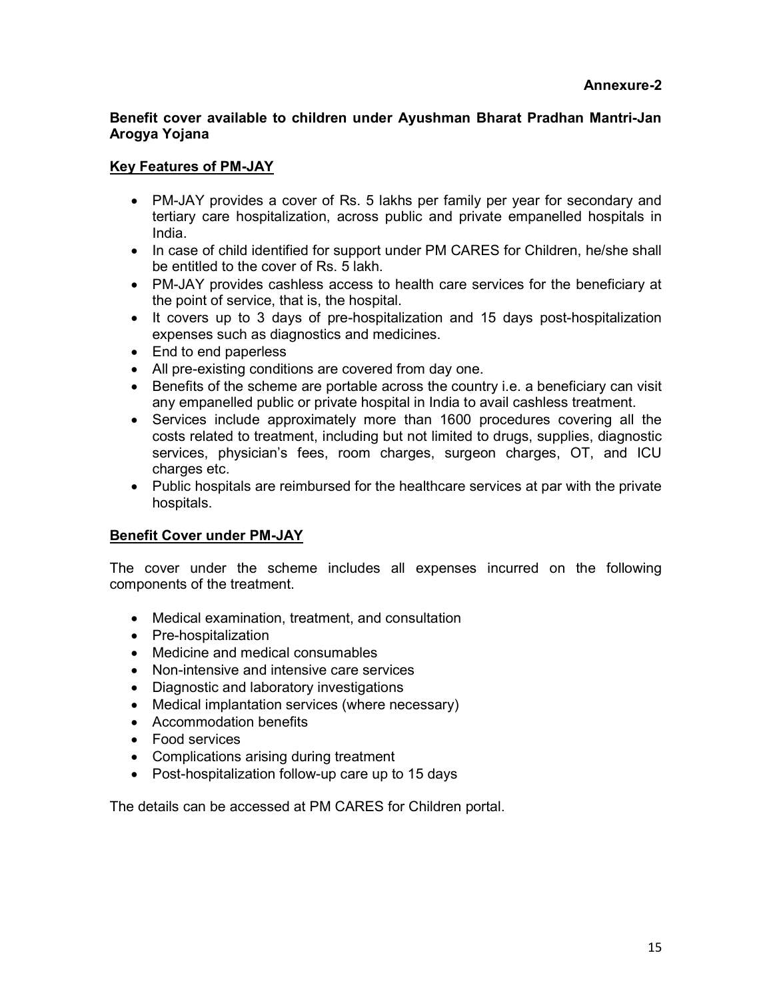## Benefit cover available to children under Ayushman Bharat Pradhan Mantri-Jan Arogya Yojana

## Key Features of PM-JAY

- PM-JAY provides a cover of Rs. 5 lakhs per family per year for secondary and tertiary care hospitalization, across public and private empanelled hospitals in India.
- In case of child identified for support under PM CARES for Children, he/she shall be entitled to the cover of Rs. 5 lakh.
- PM-JAY provides cashless access to health care services for the beneficiary at the point of service, that is, the hospital.
- It covers up to 3 days of pre-hospitalization and 15 days post-hospitalization expenses such as diagnostics and medicines.
- End to end paperless
- All pre-existing conditions are covered from day one.
- Benefits of the scheme are portable across the country i.e. a beneficiary can visit any empanelled public or private hospital in India to avail cashless treatment.
- Services include approximately more than 1600 procedures covering all the costs related to treatment, including but not limited to drugs, supplies, diagnostic services, physician's fees, room charges, surgeon charges, OT, and ICU charges etc.
- Public hospitals are reimbursed for the healthcare services at par with the private hospitals.

## Benefit Cover under PM-JAY

The cover under the scheme includes all expenses incurred on the following components of the treatment.

- Medical examination, treatment, and consultation
- Pre-hospitalization
- Medicine and medical consumables
- Non-intensive and intensive care services
- Diagnostic and laboratory investigations
- Medical implantation services (where necessary)
- Accommodation benefits
- Food services
- Complications arising during treatment
- Post-hospitalization follow-up care up to 15 days

The details can be accessed at PM CARES for Children portal.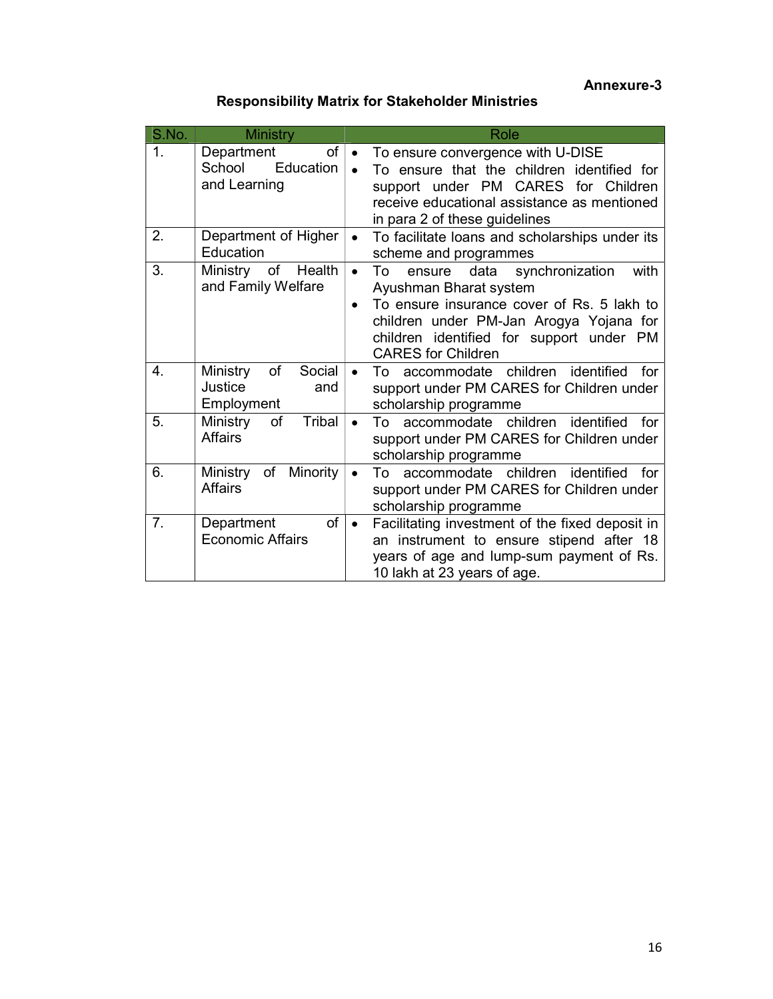## Annexure-3

# Responsibility Matrix for Stakeholder Ministries

| S.No. | <b>Ministry</b>                                           | Role                                                                                                                                                                                                                                                               |
|-------|-----------------------------------------------------------|--------------------------------------------------------------------------------------------------------------------------------------------------------------------------------------------------------------------------------------------------------------------|
| 1.    | of  <br>Department<br>School<br>Education<br>and Learning | To ensure convergence with U-DISE<br>$\bullet$<br>To ensure that the children identified for<br>$\bullet$<br>support under PM CARES<br>for Children<br>receive educational assistance as mentioned<br>in para 2 of these guidelines                                |
| 2.    | Department of Higher<br>Education                         | To facilitate loans and scholarships under its<br>$\bullet$<br>scheme and programmes                                                                                                                                                                               |
| 3.    | Ministry of<br>Health<br>and Family Welfare               | $\bullet$<br>ensure data<br>synchronization<br>with<br>To<br>Ayushman Bharat system<br>To ensure insurance cover of Rs. 5 lakh to<br>$\bullet$<br>children under PM-Jan Arogya Yojana for<br>children identified for support under PM<br><b>CARES</b> for Children |
| 4.    | of<br>Social<br>Ministry<br>Justice<br>and<br>Employment  | accommodate children identified<br>for<br>To<br>$\bullet$<br>support under PM CARES for Children under<br>scholarship programme                                                                                                                                    |
| 5.    | Tribal<br>of<br>Ministry<br><b>Affairs</b>                | To accommodate children identified<br>for<br>$\bullet$<br>support under PM CARES for Children under<br>scholarship programme                                                                                                                                       |
| 6.    | of<br>Minority<br>Ministry<br><b>Affairs</b>              | To accommodate children identified<br>for<br>$\bullet$<br>support under PM CARES for Children under<br>scholarship programme                                                                                                                                       |
| 7.    | of<br>Department<br><b>Economic Affairs</b>               | Facilitating investment of the fixed deposit in<br>$\bullet$<br>an instrument to ensure stipend after 18<br>years of age and lump-sum payment of Rs.<br>10 lakh at 23 years of age.                                                                                |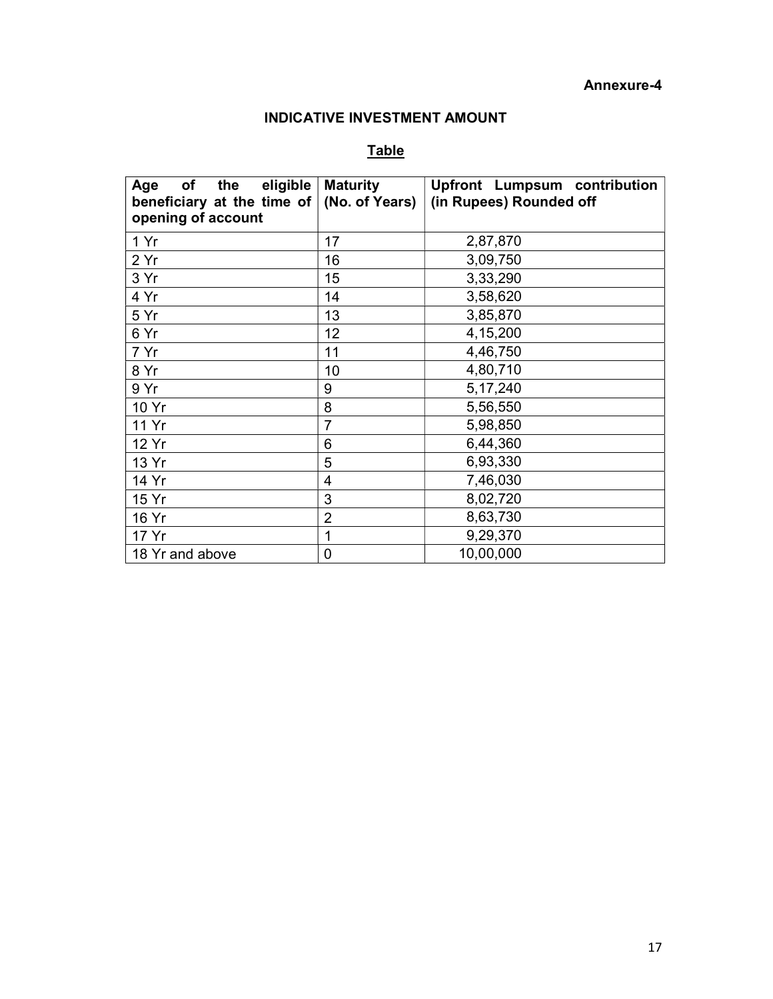#### Annexure-4

## INDICATIVE INVESTMENT AMOUNT

## **Table**

| eligible<br>Age<br>of<br>the<br>beneficiary at the time of<br>opening of account | <b>Maturity</b><br>(No. of Years) | <b>Upfront Lumpsum contribution</b><br>(in Rupees) Rounded off |
|----------------------------------------------------------------------------------|-----------------------------------|----------------------------------------------------------------|
| 1 Yr                                                                             | 17                                | 2,87,870                                                       |
| 2 Yr                                                                             | 16                                | 3,09,750                                                       |
| 3 Yr                                                                             | 15                                | 3,33,290                                                       |
| 4 Yr                                                                             | 14                                | 3,58,620                                                       |
| 5 Yr                                                                             | 13                                | 3,85,870                                                       |
| 6 Yr                                                                             | 12                                | 4,15,200                                                       |
| 7 Yr                                                                             | 11                                | 4,46,750                                                       |
| 8 Yr                                                                             | 10                                | 4,80,710                                                       |
| 9 Yr                                                                             | 9                                 | 5, 17, 240                                                     |
| 10 Yr                                                                            | 8                                 | 5,56,550                                                       |
| 11 Yr                                                                            | $\overline{7}$                    | 5,98,850                                                       |
| 12 Yr                                                                            | 6                                 | 6,44,360                                                       |
| 13 Yr                                                                            | 5                                 | 6,93,330                                                       |
| 14 Yr                                                                            | 4                                 | 7,46,030                                                       |
| 15 Yr                                                                            | 3                                 | 8,02,720                                                       |
| 16 Yr                                                                            | $\overline{2}$                    | 8,63,730                                                       |
| 17 Yr                                                                            | 1                                 | 9,29,370                                                       |
| 18 Yr and above                                                                  | 0                                 | 10,00,000                                                      |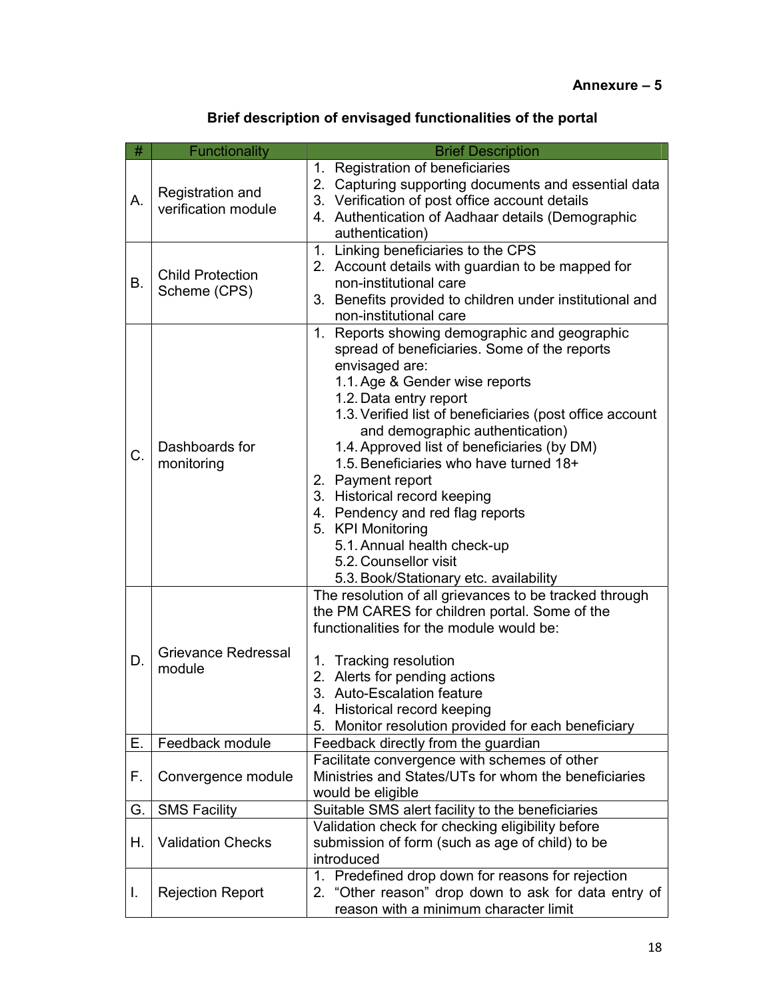# Brief description of envisaged functionalities of the portal

| #         | Functionality                           | <b>Brief Description</b>                                                                            |
|-----------|-----------------------------------------|-----------------------------------------------------------------------------------------------------|
|           |                                         | 1. Registration of beneficiaries                                                                    |
|           | Registration and                        | 2. Capturing supporting documents and essential data                                                |
| А.        | verification module                     | 3. Verification of post office account details                                                      |
|           |                                         | 4. Authentication of Aadhaar details (Demographic                                                   |
|           |                                         | authentication)                                                                                     |
|           |                                         | 1. Linking beneficiaries to the CPS                                                                 |
| <b>B.</b> | <b>Child Protection</b><br>Scheme (CPS) | 2. Account details with guardian to be mapped for<br>non-institutional care                         |
|           |                                         | 3. Benefits provided to children under institutional and                                            |
|           |                                         | non-institutional care                                                                              |
|           |                                         | 1. Reports showing demographic and geographic                                                       |
|           |                                         | spread of beneficiaries. Some of the reports                                                        |
|           |                                         | envisaged are:                                                                                      |
|           |                                         | 1.1. Age & Gender wise reports                                                                      |
|           |                                         | 1.2. Data entry report                                                                              |
|           |                                         | 1.3. Verified list of beneficiaries (post office account                                            |
|           |                                         | and demographic authentication)                                                                     |
| C.        | Dashboards for<br>monitoring            | 1.4. Approved list of beneficiaries (by DM)<br>1.5. Beneficiaries who have turned 18+               |
|           |                                         | 2. Payment report                                                                                   |
|           |                                         | 3. Historical record keeping                                                                        |
|           |                                         | 4. Pendency and red flag reports                                                                    |
|           |                                         | 5. KPI Monitoring                                                                                   |
|           |                                         | 5.1. Annual health check-up                                                                         |
|           |                                         | 5.2. Counsellor visit                                                                               |
|           |                                         | 5.3. Book/Stationary etc. availability                                                              |
|           |                                         | The resolution of all grievances to be tracked through                                              |
|           |                                         | the PM CARES for children portal. Some of the                                                       |
|           |                                         | functionalities for the module would be:                                                            |
| D.        | Grievance Redressal                     | 1. Tracking resolution                                                                              |
|           | module                                  | 2. Alerts for pending actions                                                                       |
|           |                                         | 3. Auto-Escalation feature                                                                          |
|           |                                         | 4. Historical record keeping                                                                        |
|           |                                         | Monitor resolution provided for each beneficiary<br>5.                                              |
| Е.        | Feedback module                         | Feedback directly from the guardian                                                                 |
|           |                                         | Facilitate convergence with schemes of other                                                        |
| F.        | Convergence module                      | Ministries and States/UTs for whom the beneficiaries                                                |
|           |                                         | would be eligible                                                                                   |
| G.        | <b>SMS Facility</b>                     | Suitable SMS alert facility to the beneficiaries                                                    |
| Н.        | <b>Validation Checks</b>                | Validation check for checking eligibility before<br>submission of form (such as age of child) to be |
|           |                                         | introduced                                                                                          |
|           |                                         | 1. Predefined drop down for reasons for rejection                                                   |
| I.        | <b>Rejection Report</b>                 | 2. "Other reason" drop down to ask for data entry of                                                |
|           |                                         | reason with a minimum character limit                                                               |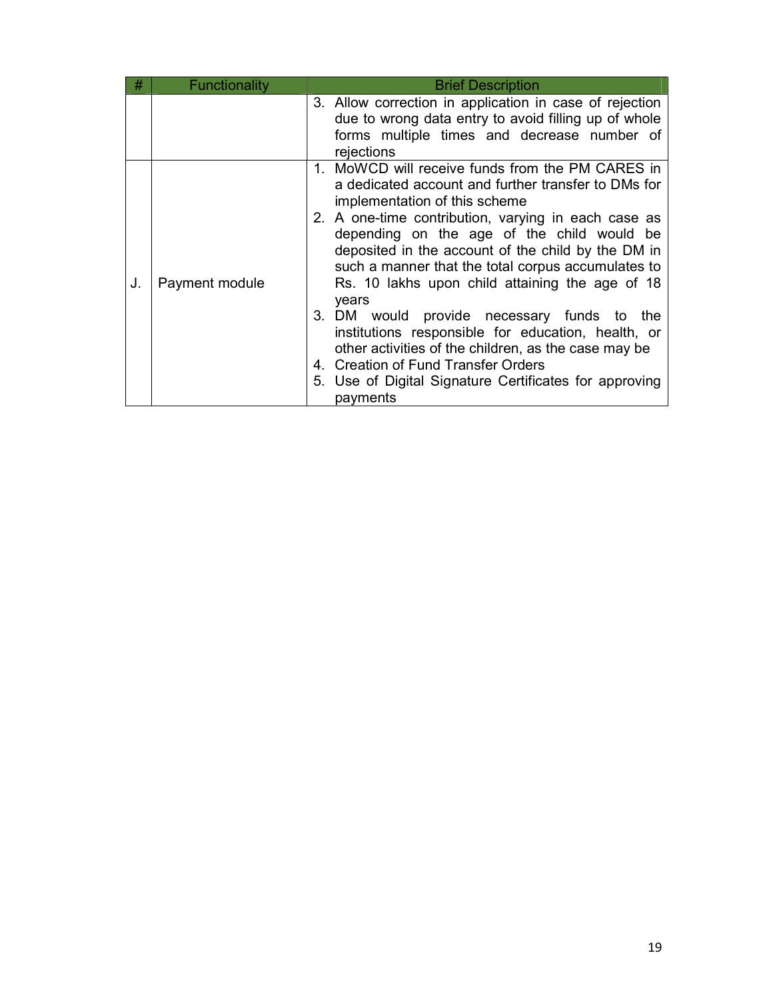| #  | Functionality  | <b>Brief Description</b>                                                                                                                                                                                                                                                                                                                                                                                                                                                                                                                                                                                                                                                                       |  |
|----|----------------|------------------------------------------------------------------------------------------------------------------------------------------------------------------------------------------------------------------------------------------------------------------------------------------------------------------------------------------------------------------------------------------------------------------------------------------------------------------------------------------------------------------------------------------------------------------------------------------------------------------------------------------------------------------------------------------------|--|
|    |                | 3. Allow correction in application in case of rejection<br>due to wrong data entry to avoid filling up of whole<br>forms multiple times and decrease number of<br>rejections                                                                                                                                                                                                                                                                                                                                                                                                                                                                                                                   |  |
| J. | Payment module | 1. MoWCD will receive funds from the PM CARES in<br>a dedicated account and further transfer to DMs for<br>implementation of this scheme<br>2. A one-time contribution, varying in each case as<br>depending on the age of the child would be<br>deposited in the account of the child by the DM in<br>such a manner that the total corpus accumulates to<br>Rs. 10 lakhs upon child attaining the age of 18<br>years<br>3. DM would provide necessary funds to the<br>institutions responsible for education, health, or<br>other activities of the children, as the case may be<br>4. Creation of Fund Transfer Orders<br>5. Use of Digital Signature Certificates for approving<br>payments |  |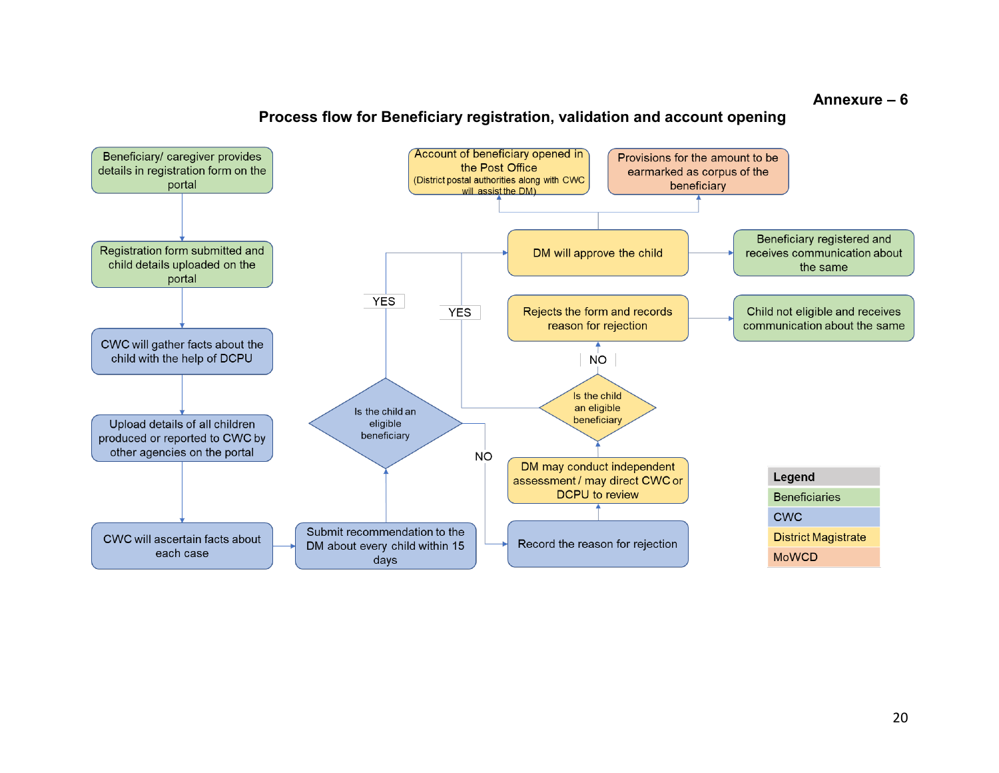#### Annexure – 6

## Process flow for Beneficiary registration, validation and account opening

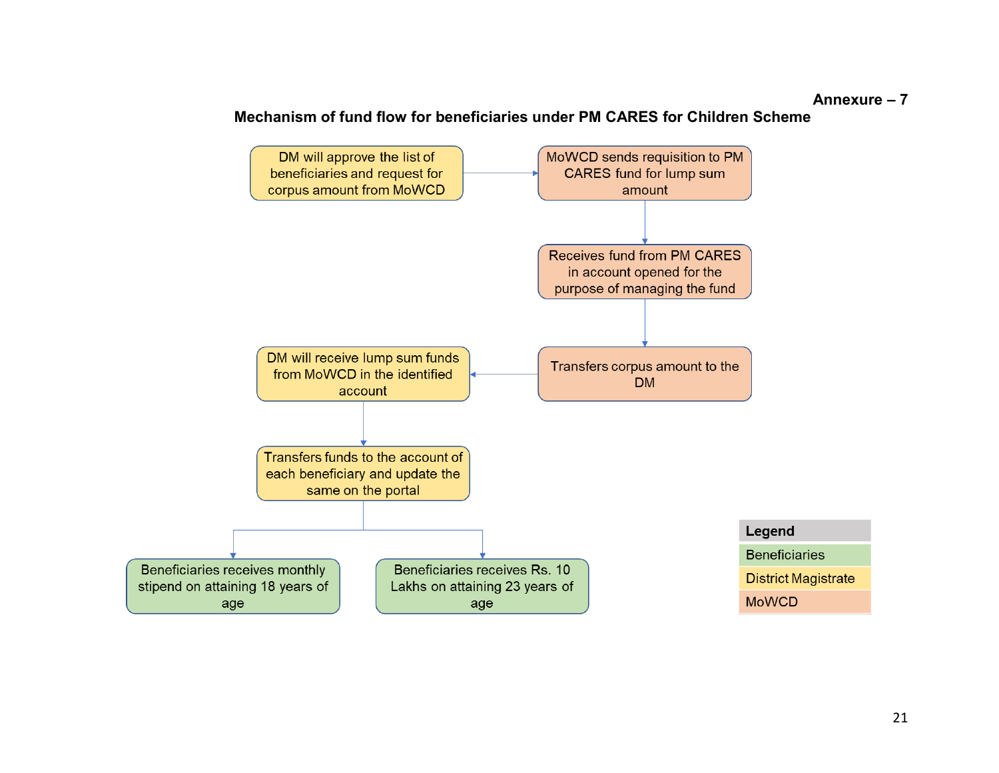#### Annexure – 7

## Mechanism of fund flow for beneficiaries under PM CARES for Children Scheme